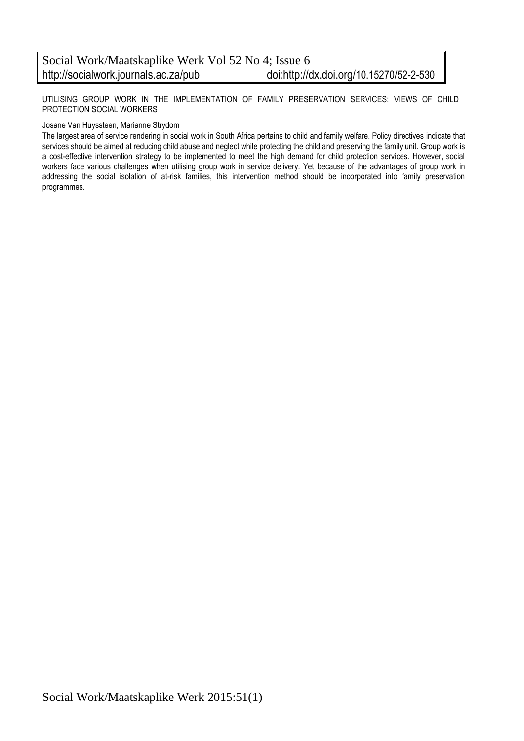UTILISING GROUP WORK IN THE IMPLEMENTATION OF FAMILY PRESERVATION SERVICES: VIEWS OF CHILD PROTECTION SOCIAL WORKERS

#### Josane Van Huyssteen, Marianne Strydom

The largest area of service rendering in social work in South Africa pertains to child and family welfare. Policy directives indicate that services should be aimed at reducing child abuse and neglect while protecting the child and preserving the family unit. Group work is a cost-effective intervention strategy to be implemented to meet the high demand for child protection services. However, social workers face various challenges when utilising group work in service delivery. Yet because of the advantages of group work in addressing the social isolation of at-risk families, this intervention method should be incorporated into family preservation programmes.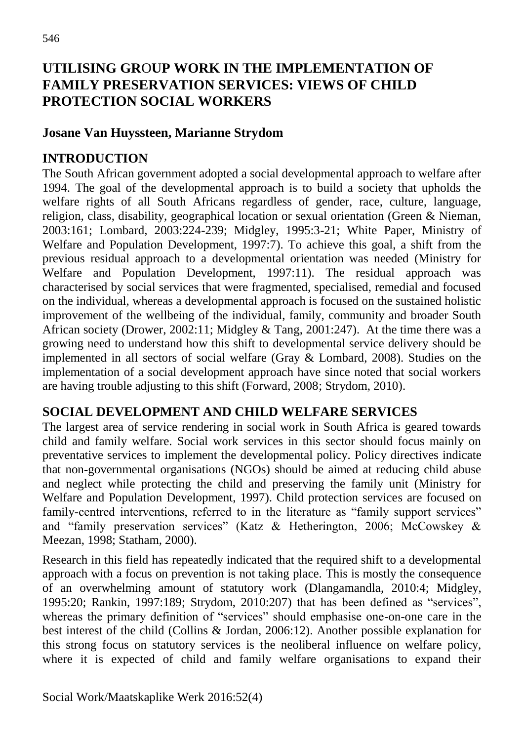### **UTILISING GR**O**UP WORK IN THE IMPLEMENTATION OF FAMILY PRESERVATION SERVICES: VIEWS OF CHILD PROTECTION SOCIAL WORKERS**

#### **Josane Van Huyssteen, Marianne Strydom**

### **INTRODUCTION**

The South African government adopted a social developmental approach to welfare after 1994. The goal of the developmental approach is to build a society that upholds the welfare rights of all South Africans regardless of gender, race, culture, language, religion, class, disability, geographical location or sexual orientation (Green & Nieman, 2003:161; Lombard, 2003:224-239; Midgley, 1995:3-21; White Paper, Ministry of Welfare and Population Development, 1997:7). To achieve this goal, a shift from the previous residual approach to a developmental orientation was needed (Ministry for Welfare and Population Development, 1997:11). The residual approach was characterised by social services that were fragmented, specialised, remedial and focused on the individual, whereas a developmental approach is focused on the sustained holistic improvement of the wellbeing of the individual, family, community and broader South African society (Drower, 2002:11; Midgley & Tang, 2001:247). At the time there was a growing need to understand how this shift to developmental service delivery should be implemented in all sectors of social welfare (Gray & Lombard, 2008). Studies on the implementation of a social development approach have since noted that social workers are having trouble adjusting to this shift (Forward, 2008; Strydom, 2010).

### **SOCIAL DEVELOPMENT AND CHILD WELFARE SERVICES**

The largest area of service rendering in social work in South Africa is geared towards child and family welfare. Social work services in this sector should focus mainly on preventative services to implement the developmental policy. Policy directives indicate that non-governmental organisations (NGOs) should be aimed at reducing child abuse and neglect while protecting the child and preserving the family unit (Ministry for Welfare and Population Development, 1997). Child protection services are focused on family-centred interventions, referred to in the literature as "family support services" and "family preservation services" (Katz & Hetherington, 2006; McCowskey & Meezan, 1998; Statham, 2000).

Research in this field has repeatedly indicated that the required shift to a developmental approach with a focus on prevention is not taking place. This is mostly the consequence of an overwhelming amount of statutory work (Dlangamandla, 2010:4; Midgley, 1995:20; Rankin, 1997:189; Strydom, 2010:207) that has been defined as "services", whereas the primary definition of "services" should emphasise one-on-one care in the best interest of the child (Collins & Jordan, 2006:12). Another possible explanation for this strong focus on statutory services is the neoliberal influence on welfare policy, where it is expected of child and family welfare organisations to expand their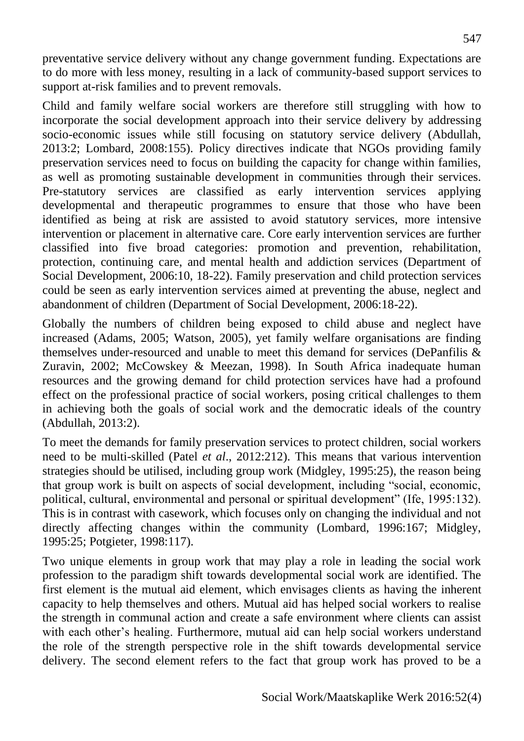preventative service delivery without any change government funding. Expectations are to do more with less money, resulting in a lack of community-based support services to support at-risk families and to prevent removals.

Child and family welfare social workers are therefore still struggling with how to incorporate the social development approach into their service delivery by addressing socio-economic issues while still focusing on statutory service delivery (Abdullah, 2013:2; Lombard, 2008:155). Policy directives indicate that NGOs providing family preservation services need to focus on building the capacity for change within families, as well as promoting sustainable development in communities through their services. Pre-statutory services are classified as early intervention services applying developmental and therapeutic programmes to ensure that those who have been identified as being at risk are assisted to avoid statutory services, more intensive intervention or placement in alternative care. Core early intervention services are further classified into five broad categories: promotion and prevention, rehabilitation, protection, continuing care, and mental health and addiction services (Department of Social Development, 2006:10, 18-22). Family preservation and child protection services could be seen as early intervention services aimed at preventing the abuse, neglect and abandonment of children (Department of Social Development, 2006:18-22).

Globally the numbers of children being exposed to child abuse and neglect have increased (Adams, 2005; Watson, 2005), yet family welfare organisations are finding themselves under-resourced and unable to meet this demand for services (DePanfilis & Zuravin, 2002; McCowskey & Meezan, 1998). In South Africa inadequate human resources and the growing demand for child protection services have had a profound effect on the professional practice of social workers, posing critical challenges to them in achieving both the goals of social work and the democratic ideals of the country (Abdullah, 2013:2).

To meet the demands for family preservation services to protect children, social workers need to be multi-skilled (Patel *et al*., 2012:212). This means that various intervention strategies should be utilised, including group work (Midgley, 1995:25), the reason being that group work is built on aspects of social development, including "social, economic, political, cultural, environmental and personal or spiritual development" (Ife, 1995:132). This is in contrast with casework, which focuses only on changing the individual and not directly affecting changes within the community (Lombard, 1996:167; Midgley, 1995:25; Potgieter, 1998:117).

Two unique elements in group work that may play a role in leading the social work profession to the paradigm shift towards developmental social work are identified. The first element is the mutual aid element, which envisages clients as having the inherent capacity to help themselves and others. Mutual aid has helped social workers to realise the strength in communal action and create a safe environment where clients can assist with each other's healing. Furthermore, mutual aid can help social workers understand the role of the strength perspective role in the shift towards developmental service delivery. The second element refers to the fact that group work has proved to be a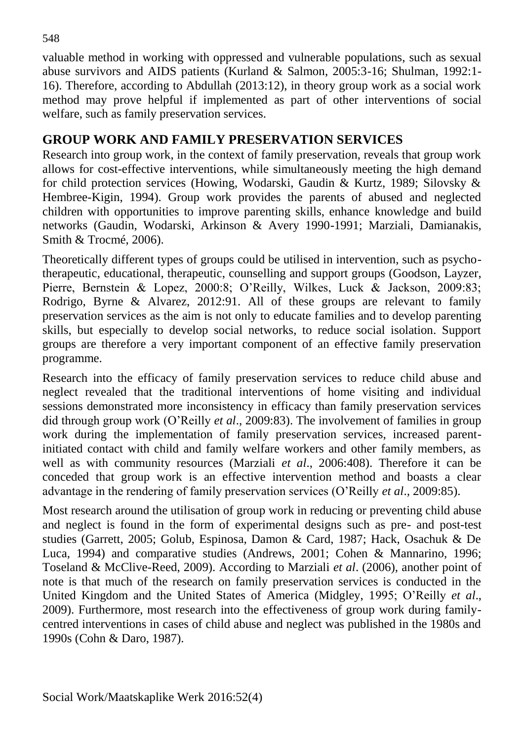valuable method in working with oppressed and vulnerable populations, such as sexual abuse survivors and AIDS patients (Kurland & Salmon, 2005:3-16; Shulman, 1992:1- 16). Therefore, according to Abdullah (2013:12), in theory group work as a social work method may prove helpful if implemented as part of other interventions of social welfare, such as family preservation services.

### **GROUP WORK AND FAMILY PRESERVATION SERVICES**

Research into group work, in the context of family preservation, reveals that group work allows for cost-effective interventions, while simultaneously meeting the high demand for child protection services (Howing, Wodarski, Gaudin & Kurtz, 1989; Silovsky & Hembree-Kigin, 1994). Group work provides the parents of abused and neglected children with opportunities to improve parenting skills, enhance knowledge and build networks (Gaudin, Wodarski, Arkinson & Avery 1990-1991; Marziali, Damianakis, Smith & Trocmé, 2006).

Theoretically different types of groups could be utilised in intervention, such as psychotherapeutic, educational, therapeutic, counselling and support groups (Goodson, Layzer, Pierre, Bernstein & Lopez, 2000:8; O'Reilly, Wilkes, Luck & Jackson, 2009:83; Rodrigo, Byrne & Alvarez, 2012:91. All of these groups are relevant to family preservation services as the aim is not only to educate families and to develop parenting skills, but especially to develop social networks, to reduce social isolation. Support groups are therefore a very important component of an effective family preservation programme.

Research into the efficacy of family preservation services to reduce child abuse and neglect revealed that the traditional interventions of home visiting and individual sessions demonstrated more inconsistency in efficacy than family preservation services did through group work (O'Reilly *et al*., 2009:83). The involvement of families in group work during the implementation of family preservation services, increased parentinitiated contact with child and family welfare workers and other family members, as well as with community resources (Marziali *et al*., 2006:408). Therefore it can be conceded that group work is an effective intervention method and boasts a clear advantage in the rendering of family preservation services (O'Reilly *et al*.*,* 2009:85).

Most research around the utilisation of group work in reducing or preventing child abuse and neglect is found in the form of experimental designs such as pre- and post-test studies (Garrett, 2005; Golub, Espinosa, Damon & Card, 1987; Hack, Osachuk & De Luca, 1994) and comparative studies (Andrews, 2001; Cohen & Mannarino, 1996; Toseland & McClive-Reed, 2009). According to Marziali *et al*. (2006), another point of note is that much of the research on family preservation services is conducted in the United Kingdom and the United States of America (Midgley, 1995; O'Reilly *et al*., 2009). Furthermore, most research into the effectiveness of group work during familycentred interventions in cases of child abuse and neglect was published in the 1980s and 1990s (Cohn & Daro, 1987).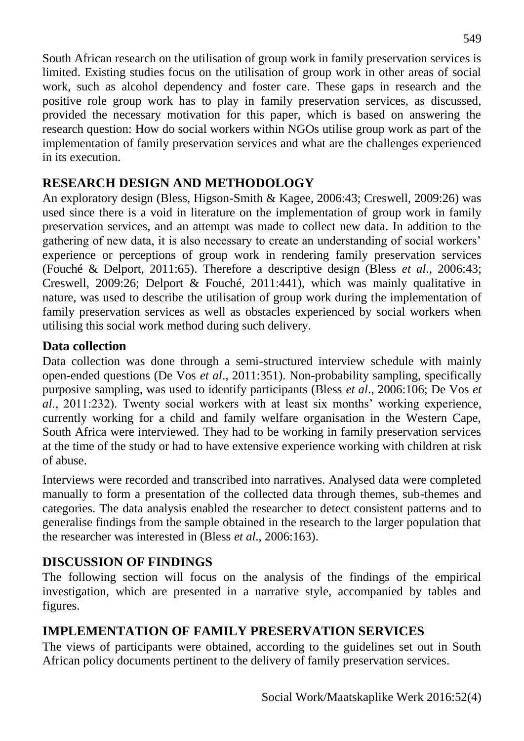South African research on the utilisation of group work in family preservation services is limited. Existing studies focus on the utilisation of group work in other areas of social work, such as alcohol dependency and foster care. These gaps in research and the positive role group work has to play in family preservation services, as discussed, provided the necessary motivation for this paper, which is based on answering the research question: How do social workers within NGOs utilise group work as part of the implementation of family preservation services and what are the challenges experienced in its execution.

### **RESEARCH DESIGN AND METHODOLOGY**

An exploratory design (Bless, Higson-Smith & Kagee, 2006:43; Creswell, 2009:26) was used since there is a void in literature on the implementation of group work in family preservation services, and an attempt was made to collect new data. In addition to the gathering of new data, it is also necessary to create an understanding of social workers' experience or perceptions of group work in rendering family preservation services (Fouché & Delport, 2011:65). Therefore a descriptive design (Bless *et al*., 2006:43; Creswell, 2009:26; Delport & Fouché, 2011:441), which was mainly qualitative in nature, was used to describe the utilisation of group work during the implementation of family preservation services as well as obstacles experienced by social workers when utilising this social work method during such delivery.

### **Data collection**

Data collection was done through a semi-structured interview schedule with mainly open-ended questions (De Vos *et al*., 2011:351). Non-probability sampling, specifically purposive sampling, was used to identify participants (Bless *et al*., 2006:106; De Vos *et al*., 2011:232). Twenty social workers with at least six months' working experience, currently working for a child and family welfare organisation in the Western Cape, South Africa were interviewed. They had to be working in family preservation services at the time of the study or had to have extensive experience working with children at risk of abuse.

Interviews were recorded and transcribed into narratives. Analysed data were completed manually to form a presentation of the collected data through themes, sub-themes and categories. The data analysis enabled the researcher to detect consistent patterns and to generalise findings from the sample obtained in the research to the larger population that the researcher was interested in (Bless *et al*., 2006:163).

## **DISCUSSION OF FINDINGS**

The following section will focus on the analysis of the findings of the empirical investigation, which are presented in a narrative style, accompanied by tables and figures.

# **IMPLEMENTATION OF FAMILY PRESERVATION SERVICES**

The views of participants were obtained, according to the guidelines set out in South African policy documents pertinent to the delivery of family preservation services.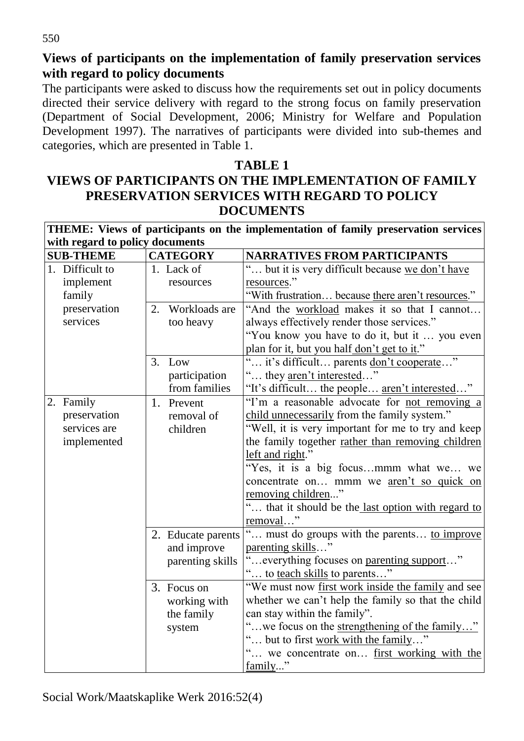**Views of participants on the implementation of family preservation services with regard to policy documents**

The participants were asked to discuss how the requirements set out in policy documents directed their service delivery with regard to the strong focus on family preservation (Department of Social Development, 2006; Ministry for Welfare and Population Development 1997). The narratives of participants were divided into sub-themes and categories, which are presented in Table 1.

### **TABLE 1 VIEWS OF PARTICIPANTS ON THE IMPLEMENTATION OF FAMILY PRESERVATION SERVICES WITH REGARD TO POLICY DOCUMENTS**

| THEME: Views of participants on the implementation of family preservation services |                  |                 |                    |                                                       |  |  |  |  |
|------------------------------------------------------------------------------------|------------------|-----------------|--------------------|-------------------------------------------------------|--|--|--|--|
| with regard to policy documents                                                    |                  |                 |                    |                                                       |  |  |  |  |
|                                                                                    | <b>SUB-THEME</b> | <b>CATEGORY</b> |                    | <b>NARRATIVES FROM PARTICIPANTS</b>                   |  |  |  |  |
|                                                                                    | 1. Difficult to  |                 | 1. Lack of         | " but it is very difficult because we don't have      |  |  |  |  |
|                                                                                    | implement        |                 | resources          | resources."                                           |  |  |  |  |
|                                                                                    | family           |                 |                    | "With frustration because there aren't resources."    |  |  |  |  |
|                                                                                    | preservation     | 2.              | Workloads are      | "And the workload makes it so that I cannot           |  |  |  |  |
|                                                                                    | services         |                 | too heavy          | always effectively render those services."            |  |  |  |  |
|                                                                                    |                  |                 |                    | "You know you have to do it, but it  you even         |  |  |  |  |
|                                                                                    |                  |                 |                    | plan for it, but you half don't get to it."           |  |  |  |  |
|                                                                                    |                  | 3.              | Low                | " it's difficult parents <u>don't cooperate</u> '     |  |  |  |  |
|                                                                                    |                  |                 | participation      | " they <u>aren't interested</u> "                     |  |  |  |  |
|                                                                                    |                  |                 | from families      | "It's difficult the people <u>aren't interested</u> " |  |  |  |  |
|                                                                                    | 2. Family        |                 | 1. Prevent         | "I'm a reasonable advocate for not removing a         |  |  |  |  |
|                                                                                    | preservation     |                 | removal of         | child unnecessarily from the family system."          |  |  |  |  |
|                                                                                    | services are     |                 | children           | "Well, it is very important for me to try and keep    |  |  |  |  |
|                                                                                    | implemented      |                 |                    | the family together rather than removing children     |  |  |  |  |
|                                                                                    |                  |                 |                    | left and right."                                      |  |  |  |  |
|                                                                                    |                  |                 |                    | "Yes, it is a big focusmmm what we we                 |  |  |  |  |
|                                                                                    |                  |                 |                    | concentrate on mmm we aren't so quick on              |  |  |  |  |
|                                                                                    |                  |                 |                    | removing children"                                    |  |  |  |  |
|                                                                                    |                  |                 |                    | " that it should be the last option with regard to    |  |  |  |  |
|                                                                                    |                  |                 |                    | removal"                                              |  |  |  |  |
|                                                                                    |                  |                 | 2. Educate parents | " must do groups with the parents to improve          |  |  |  |  |
|                                                                                    |                  |                 | and improve        | parenting skills"                                     |  |  |  |  |
|                                                                                    |                  |                 | parenting skills   | "everything focuses on parenting support"             |  |  |  |  |
|                                                                                    |                  |                 |                    | " to <u>teach skills</u> to parents"                  |  |  |  |  |
|                                                                                    |                  |                 | 3. Focus on        | "We must now first work inside the family and see     |  |  |  |  |
|                                                                                    |                  |                 | working with       | whether we can't help the family so that the child    |  |  |  |  |
|                                                                                    |                  |                 | the family         | can stay within the family".                          |  |  |  |  |
|                                                                                    |                  |                 | system             | " we focus on the strengthening of the family"        |  |  |  |  |
|                                                                                    |                  |                 |                    | but to first work with the family"                    |  |  |  |  |
|                                                                                    |                  |                 |                    | we concentrate on first working with the              |  |  |  |  |
|                                                                                    |                  |                 |                    | family"                                               |  |  |  |  |

Social Work/Maatskaplike Werk 2016:52(4)

550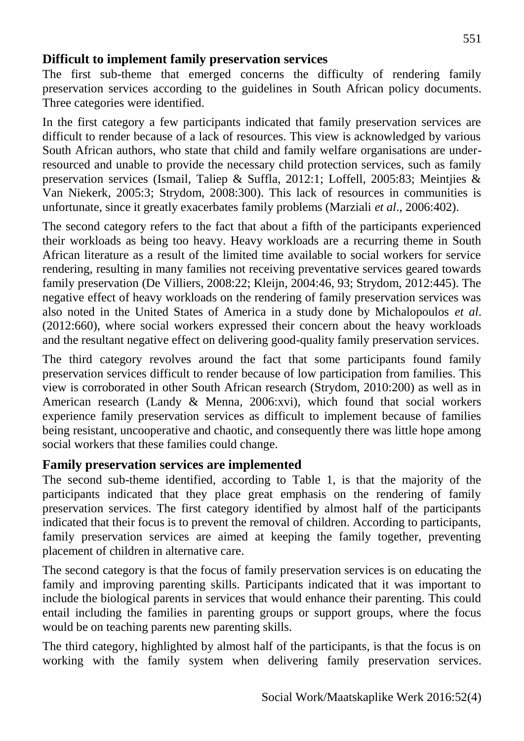#### **Difficult to implement family preservation services**

The first sub-theme that emerged concerns the difficulty of rendering family preservation services according to the guidelines in South African policy documents. Three categories were identified.

In the first category a few participants indicated that family preservation services are difficult to render because of a lack of resources. This view is acknowledged by various South African authors, who state that child and family welfare organisations are underresourced and unable to provide the necessary child protection services, such as family preservation services (Ismail, Taliep & Suffla, 2012:1; Loffell, 2005:83; Meintjies & Van Niekerk, 2005:3; Strydom, 2008:300). This lack of resources in communities is unfortunate, since it greatly exacerbates family problems (Marziali *et al*., 2006:402).

The second category refers to the fact that about a fifth of the participants experienced their workloads as being too heavy. Heavy workloads are a recurring theme in South African literature as a result of the limited time available to social workers for service rendering, resulting in many families not receiving preventative services geared towards family preservation (De Villiers, 2008:22; Kleijn, 2004:46, 93; Strydom, 2012:445). The negative effect of heavy workloads on the rendering of family preservation services was also noted in the United States of America in a study done by Michalopoulos *et al*. (2012:660), where social workers expressed their concern about the heavy workloads and the resultant negative effect on delivering good-quality family preservation services.

The third category revolves around the fact that some participants found family preservation services difficult to render because of low participation from families. This view is corroborated in other South African research (Strydom, 2010:200) as well as in American research (Landy & Menna, 2006:xvi), which found that social workers experience family preservation services as difficult to implement because of families being resistant, uncooperative and chaotic, and consequently there was little hope among social workers that these families could change.

### **Family preservation services are implemented**

The second sub-theme identified, according to Table 1, is that the majority of the participants indicated that they place great emphasis on the rendering of family preservation services. The first category identified by almost half of the participants indicated that their focus is to prevent the removal of children. According to participants, family preservation services are aimed at keeping the family together, preventing placement of children in alternative care.

The second category is that the focus of family preservation services is on educating the family and improving parenting skills. Participants indicated that it was important to include the biological parents in services that would enhance their parenting. This could entail including the families in parenting groups or support groups, where the focus would be on teaching parents new parenting skills.

The third category, highlighted by almost half of the participants, is that the focus is on working with the family system when delivering family preservation services.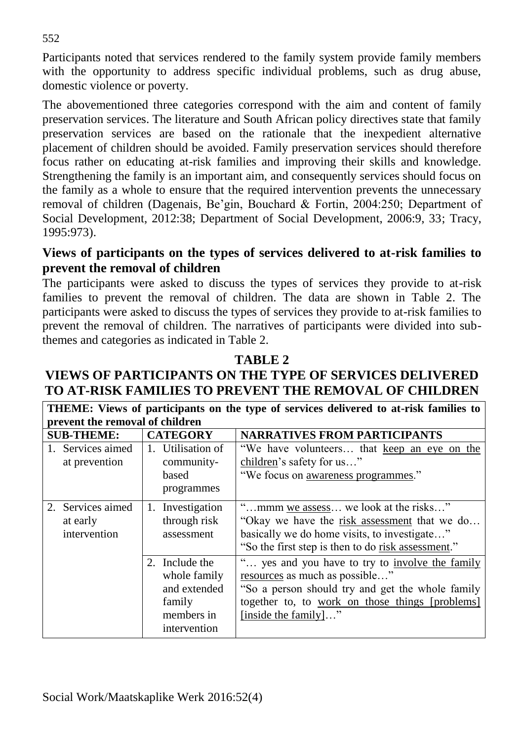Participants noted that services rendered to the family system provide family members with the opportunity to address specific individual problems, such as drug abuse, domestic violence or poverty.

The abovementioned three categories correspond with the aim and content of family preservation services. The literature and South African policy directives state that family preservation services are based on the rationale that the inexpedient alternative placement of children should be avoided. Family preservation services should therefore focus rather on educating at-risk families and improving their skills and knowledge. Strengthening the family is an important aim, and consequently services should focus on the family as a whole to ensure that the required intervention prevents the unnecessary removal of children (Dagenais, Be'gin, Bouchard & Fortin, 2004:250; Department of Social Development, 2012:38; Department of Social Development, 2006:9, 33; Tracy, 1995:973).

#### **Views of participants on the types of services delivered to at-risk families to prevent the removal of children**

The participants were asked to discuss the types of services they provide to at-risk families to prevent the removal of children. The data are shown in Table 2. The participants were asked to discuss the types of services they provide to at-risk families to prevent the removal of children. The narratives of participants were divided into subthemes and categories as indicated in Table 2.

#### **TABLE 2**

### **VIEWS OF PARTICIPANTS ON THE TYPE OF SERVICES DELIVERED TO AT-RISK FAMILIES TO PREVENT THE REMOVAL OF CHILDREN**

**THEME: Views of participants on the type of services delivered to at-risk families to prevent the removal of children**

| <b>SUB-THEME:</b> |                                               | <b>CATEGORY</b>                                                                        | <b>NARRATIVES FROM PARTICIPANTS</b>                                                                                                                                                                            |  |  |
|-------------------|-----------------------------------------------|----------------------------------------------------------------------------------------|----------------------------------------------------------------------------------------------------------------------------------------------------------------------------------------------------------------|--|--|
|                   | 1. Services aimed<br>at prevention            | 1. Utilisation of<br>community-<br>based<br>programmes                                 | "We have volunteers that keep an eye on the<br>children's safety for us"<br>"We focus on awareness programmes."                                                                                                |  |  |
|                   | 2. Services aimed<br>at early<br>intervention | 1. Investigation<br>through risk<br>assessment                                         | "mmm we assess we look at the risks"<br>"Okay we have the risk assessment that we do<br>basically we do home visits, to investigate"<br>"So the first step is then to do risk assessment."                     |  |  |
|                   |                                               | 2. Include the<br>whole family<br>and extended<br>family<br>members in<br>intervention | yes and you have to try to involve the family<br>resources as much as possible"<br>"So a person should try and get the whole family<br>together to, to work on those things [problems]<br>[inside the family]" |  |  |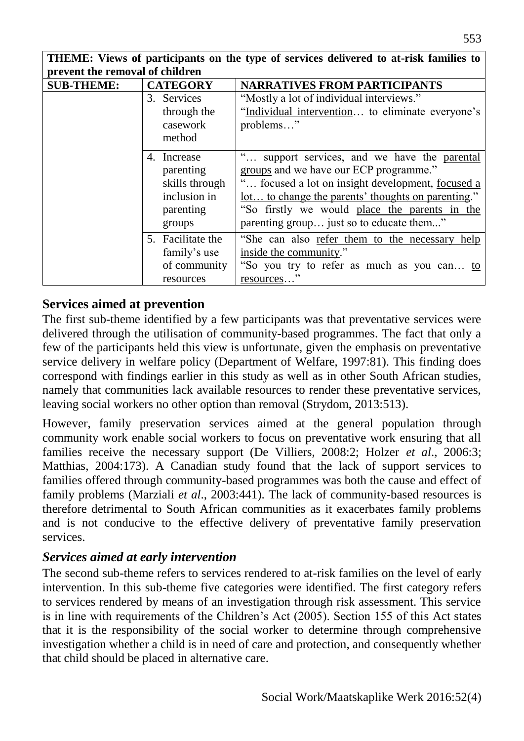**THEME: Views of participants on the type of services delivered to at-risk families to prevent the removal of children**

| <b>SUB-THEME:</b> | <b>CATEGORY</b>   | <b>NARRATIVES FROM PARTICIPANTS</b>                       |  |  |  |  |
|-------------------|-------------------|-----------------------------------------------------------|--|--|--|--|
|                   | 3. Services       | "Mostly a lot of individual interviews."                  |  |  |  |  |
|                   | through the       | "Individual intervention to eliminate everyone's          |  |  |  |  |
|                   | casework          | problems"                                                 |  |  |  |  |
|                   | method            |                                                           |  |  |  |  |
|                   | 4. Increase       | support services, and we have the parental                |  |  |  |  |
|                   | parenting         | groups and we have our ECP programme."                    |  |  |  |  |
|                   | skills through    | focused a lot on insight development, focused a           |  |  |  |  |
|                   | inclusion in      | <u>lot</u> to change the parents' thoughts on parenting." |  |  |  |  |
|                   | parenting         | "So firstly we would place the parents in the             |  |  |  |  |
|                   | groups            | parenting group just so to educate them"                  |  |  |  |  |
|                   | 5. Facilitate the | "She can also refer them to the necessary help            |  |  |  |  |
|                   | family's use      | inside the community."                                    |  |  |  |  |
|                   | of community      | "So you try to refer as much as you can to                |  |  |  |  |
|                   | resources         | resources"                                                |  |  |  |  |

#### **Services aimed at prevention**

The first sub-theme identified by a few participants was that preventative services were delivered through the utilisation of community-based programmes. The fact that only a few of the participants held this view is unfortunate, given the emphasis on preventative service delivery in welfare policy (Department of Welfare, 1997:81). This finding does correspond with findings earlier in this study as well as in other South African studies, namely that communities lack available resources to render these preventative services, leaving social workers no other option than removal (Strydom, 2013:513).

However, family preservation services aimed at the general population through community work enable social workers to focus on preventative work ensuring that all families receive the necessary support (De Villiers, 2008:2; Holzer *et al*., 2006:3; Matthias, 2004:173). A Canadian study found that the lack of support services to families offered through community-based programmes was both the cause and effect of family problems (Marziali *et al*., 2003:441). The lack of community-based resources is therefore detrimental to South African communities as it exacerbates family problems and is not conducive to the effective delivery of preventative family preservation services.

#### *Services aimed at early intervention*

The second sub-theme refers to services rendered to at-risk families on the level of early intervention. In this sub-theme five categories were identified. The first category refers to services rendered by means of an investigation through risk assessment. This service is in line with requirements of the Children's Act (2005). Section 155 of this Act states that it is the responsibility of the social worker to determine through comprehensive investigation whether a child is in need of care and protection, and consequently whether that child should be placed in alternative care.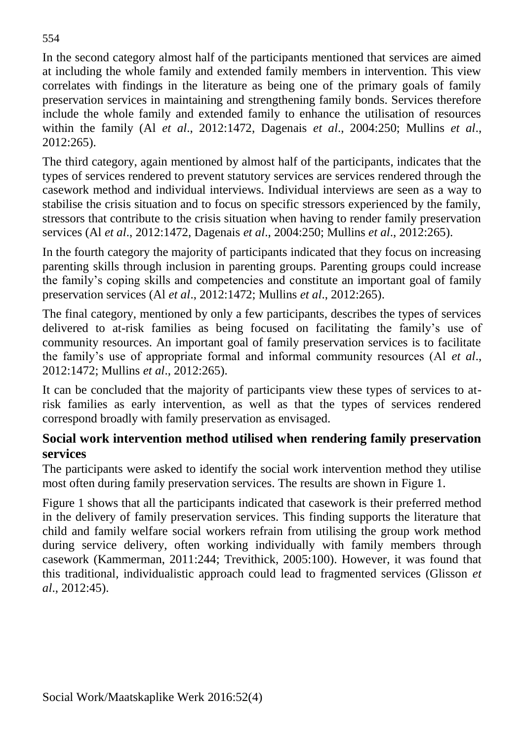In the second category almost half of the participants mentioned that services are aimed at including the whole family and extended family members in intervention. This view correlates with findings in the literature as being one of the primary goals of family preservation services in maintaining and strengthening family bonds. Services therefore include the whole family and extended family to enhance the utilisation of resources within the family (Al *et al*., 2012:1472, Dagenais *et al*., 2004:250; Mullins *et al*., 2012:265).

The third category, again mentioned by almost half of the participants, indicates that the types of services rendered to prevent statutory services are services rendered through the casework method and individual interviews. Individual interviews are seen as a way to stabilise the crisis situation and to focus on specific stressors experienced by the family, stressors that contribute to the crisis situation when having to render family preservation services (Al *et al*., 2012:1472, Dagenais *et al*., 2004:250; Mullins *et al*., 2012:265).

In the fourth category the majority of participants indicated that they focus on increasing parenting skills through inclusion in parenting groups. Parenting groups could increase the family's coping skills and competencies and constitute an important goal of family preservation services (Al *et al*., 2012:1472; Mullins *et al*., 2012:265).

The final category, mentioned by only a few participants, describes the types of services delivered to at-risk families as being focused on facilitating the family's use of community resources. An important goal of family preservation services is to facilitate the family's use of appropriate formal and informal community resources (Al *et al*., 2012:1472; Mullins *et al*., 2012:265).

It can be concluded that the majority of participants view these types of services to atrisk families as early intervention, as well as that the types of services rendered correspond broadly with family preservation as envisaged.

### **Social work intervention method utilised when rendering family preservation services**

The participants were asked to identify the social work intervention method they utilise most often during family preservation services. The results are shown in Figure 1.

Figure 1 shows that all the participants indicated that casework is their preferred method in the delivery of family preservation services. This finding supports the literature that child and family welfare social workers refrain from utilising the group work method during service delivery, often working individually with family members through casework (Kammerman, 2011:244; Trevithick, 2005:100). However, it was found that this traditional, individualistic approach could lead to fragmented services (Glisson *et al*., 2012:45).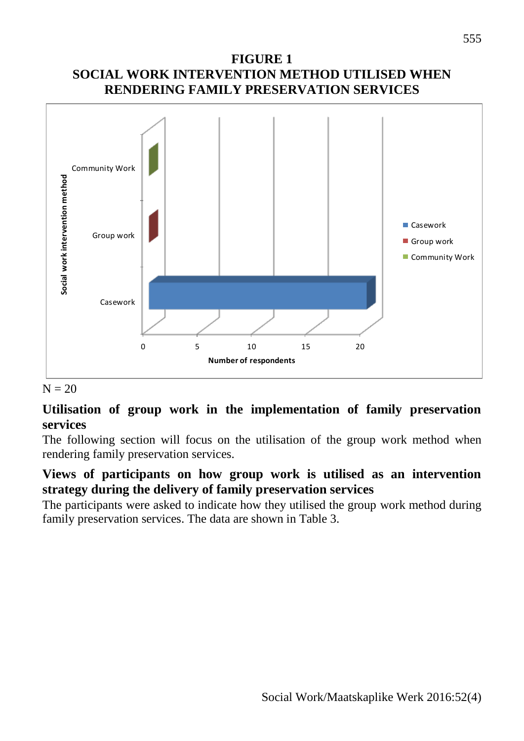#### **FIGURE 1 SOCIAL WORK INTERVENTION METHOD UTILISED WHEN RENDERING FAMILY PRESERVATION SERVICES**



#### $N = 20$

#### **Utilisation of group work in the implementation of family preservation services**

The following section will focus on the utilisation of the group work method when rendering family preservation services.

### **Views of participants on how group work is utilised as an intervention strategy during the delivery of family preservation services**

The participants were asked to indicate how they utilised the group work method during family preservation services. The data are shown in Table 3.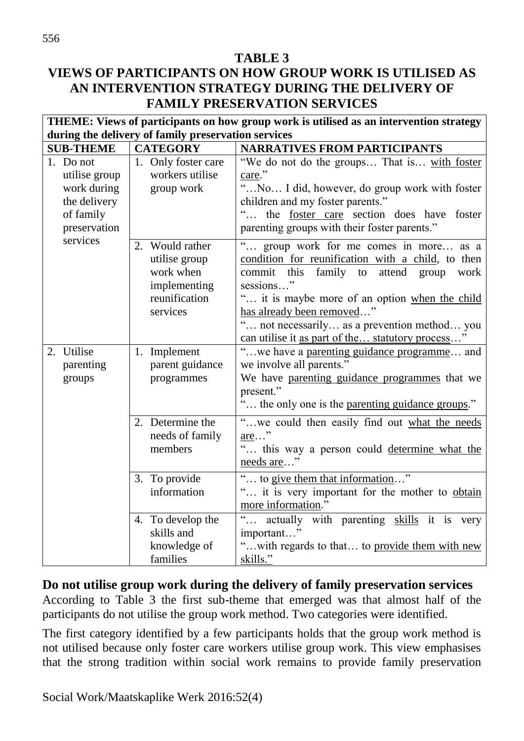#### **TABLE 3 VIEWS OF PARTICIPANTS ON HOW GROUP WORK IS UTILISED AS AN INTERVENTION STRATEGY DURING THE DELIVERY OF FAMILY PRESERVATION SERVICES**

| THEME: Views of participants on how group work is utilised as an intervention strategy |                                                                                            |                                                                                                                                                                                                                                                                                                                                               |  |  |  |  |  |  |
|----------------------------------------------------------------------------------------|--------------------------------------------------------------------------------------------|-----------------------------------------------------------------------------------------------------------------------------------------------------------------------------------------------------------------------------------------------------------------------------------------------------------------------------------------------|--|--|--|--|--|--|
| during the delivery of family preservation services                                    |                                                                                            |                                                                                                                                                                                                                                                                                                                                               |  |  |  |  |  |  |
| <b>SUB-THEME</b>                                                                       | <b>CATEGORY</b>                                                                            | <b>NARRATIVES FROM PARTICIPANTS</b>                                                                                                                                                                                                                                                                                                           |  |  |  |  |  |  |
| 1. Do not<br>utilise group<br>work during<br>the delivery<br>of family                 | 1. Only foster care<br>workers utilise<br>group work                                       | "We do not do the groups That is with foster<br>care."<br>"No I did, however, do group work with foster<br>children and my foster parents."<br>the foster care section does have foster                                                                                                                                                       |  |  |  |  |  |  |
| preservation<br>services                                                               |                                                                                            | parenting groups with their foster parents."                                                                                                                                                                                                                                                                                                  |  |  |  |  |  |  |
|                                                                                        | 2. Would rather<br>utilise group<br>work when<br>implementing<br>reunification<br>services | group work for me comes in more as a<br>condition for reunification with a child, to then<br>family to<br>commit<br>this<br>attend group<br>work<br>sessions"<br>" it is maybe more of an option when the child<br>has already been removed"<br>not necessarily as a prevention method you<br>can utilise it as part of the statutory process |  |  |  |  |  |  |
| 2. Utilise<br>parenting<br>groups                                                      | 1. Implement<br>parent guidance<br>programmes                                              | "we have a parenting guidance programme and<br>we involve all parents."<br>We have parenting guidance programmes that we<br>present."<br>" the only one is the parenting guidance groups."                                                                                                                                                    |  |  |  |  |  |  |
|                                                                                        | 2. Determine the<br>needs of family<br>members                                             | "we could then easily find out what the needs<br>$\underline{\text{are}} \dots$ "<br>" this way a person could determine what the<br>needs are"                                                                                                                                                                                               |  |  |  |  |  |  |
|                                                                                        | 3. To provide<br>information                                                               | to give them that information"<br>it is very important for the mother to obtain<br>more information."                                                                                                                                                                                                                                         |  |  |  |  |  |  |
|                                                                                        | 4. To develop the<br>skills and<br>knowledge of<br>families                                | actually with parenting skills it is very<br>important"<br>" with regards to that to provide them with new<br>skills."                                                                                                                                                                                                                        |  |  |  |  |  |  |

**Do not utilise group work during the delivery of family preservation services** According to Table 3 the first sub-theme that emerged was that almost half of the participants do not utilise the group work method. Two categories were identified.

The first category identified by a few participants holds that the group work method is not utilised because only foster care workers utilise group work. This view emphasises that the strong tradition within social work remains to provide family preservation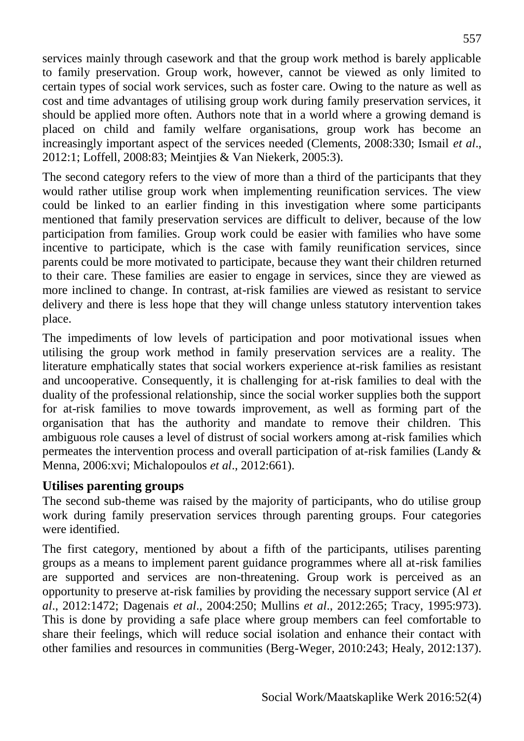services mainly through casework and that the group work method is barely applicable to family preservation. Group work, however, cannot be viewed as only limited to certain types of social work services, such as foster care. Owing to the nature as well as cost and time advantages of utilising group work during family preservation services, it should be applied more often. Authors note that in a world where a growing demand is placed on child and family welfare organisations, group work has become an increasingly important aspect of the services needed (Clements, 2008:330; Ismail *et al*., 2012:1; Loffell, 2008:83; Meintjies & Van Niekerk, 2005:3).

The second category refers to the view of more than a third of the participants that they would rather utilise group work when implementing reunification services. The view could be linked to an earlier finding in this investigation where some participants mentioned that family preservation services are difficult to deliver, because of the low participation from families. Group work could be easier with families who have some incentive to participate, which is the case with family reunification services, since parents could be more motivated to participate, because they want their children returned to their care. These families are easier to engage in services, since they are viewed as more inclined to change. In contrast, at-risk families are viewed as resistant to service delivery and there is less hope that they will change unless statutory intervention takes place.

The impediments of low levels of participation and poor motivational issues when utilising the group work method in family preservation services are a reality. The literature emphatically states that social workers experience at-risk families as resistant and uncooperative. Consequently, it is challenging for at-risk families to deal with the duality of the professional relationship, since the social worker supplies both the support for at-risk families to move towards improvement, as well as forming part of the organisation that has the authority and mandate to remove their children. This ambiguous role causes a level of distrust of social workers among at-risk families which permeates the intervention process and overall participation of at-risk families (Landy & Menna, 2006:xvi; Michalopoulos *et al*., 2012:661).

#### **Utilises parenting groups**

The second sub-theme was raised by the majority of participants, who do utilise group work during family preservation services through parenting groups. Four categories were identified.

The first category, mentioned by about a fifth of the participants, utilises parenting groups as a means to implement parent guidance programmes where all at-risk families are supported and services are non-threatening. Group work is perceived as an opportunity to preserve at-risk families by providing the necessary support service (Al *et al*., 2012:1472; Dagenais *et al*., 2004:250; Mullins *et al*., 2012:265; Tracy, 1995:973). This is done by providing a safe place where group members can feel comfortable to share their feelings, which will reduce social isolation and enhance their contact with other families and resources in communities (Berg-Weger, 2010:243; Healy, 2012:137).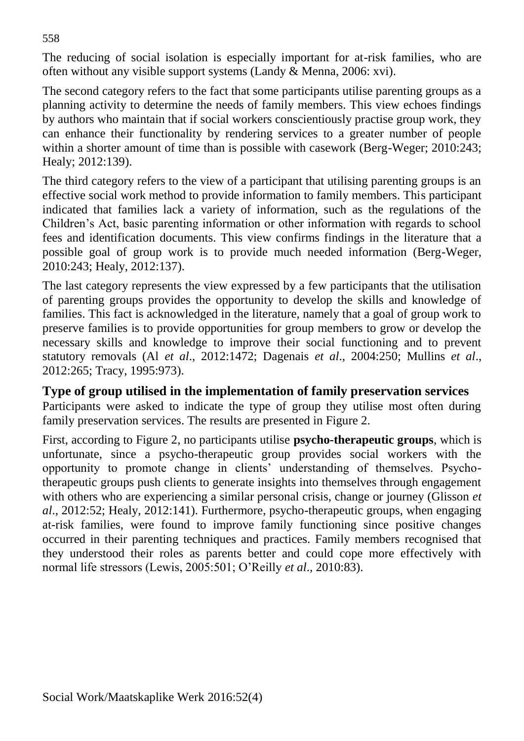The reducing of social isolation is especially important for at-risk families, who are often without any visible support systems (Landy & Menna, 2006: xvi).

The second category refers to the fact that some participants utilise parenting groups as a planning activity to determine the needs of family members. This view echoes findings by authors who maintain that if social workers conscientiously practise group work, they can enhance their functionality by rendering services to a greater number of people within a shorter amount of time than is possible with casework (Berg-Weger; 2010:243; Healy; 2012:139).

The third category refers to the view of a participant that utilising parenting groups is an effective social work method to provide information to family members. This participant indicated that families lack a variety of information, such as the regulations of the Children's Act, basic parenting information or other information with regards to school fees and identification documents. This view confirms findings in the literature that a possible goal of group work is to provide much needed information (Berg-Weger, 2010:243; Healy, 2012:137).

The last category represents the view expressed by a few participants that the utilisation of parenting groups provides the opportunity to develop the skills and knowledge of families. This fact is acknowledged in the literature, namely that a goal of group work to preserve families is to provide opportunities for group members to grow or develop the necessary skills and knowledge to improve their social functioning and to prevent statutory removals (Al *et al*., 2012:1472; Dagenais *et al*., 2004:250; Mullins *et al*., 2012:265; Tracy, 1995:973).

### **Type of group utilised in the implementation of family preservation services**

Participants were asked to indicate the type of group they utilise most often during family preservation services. The results are presented in Figure 2.

First, according to Figure 2, no participants utilise **psycho-therapeutic groups**, which is unfortunate, since a psycho-therapeutic group provides social workers with the opportunity to promote change in clients' understanding of themselves. Psychotherapeutic groups push clients to generate insights into themselves through engagement with others who are experiencing a similar personal crisis, change or journey (Glisson *et al*., 2012:52; Healy, 2012:141). Furthermore, psycho-therapeutic groups, when engaging at-risk families, were found to improve family functioning since positive changes occurred in their parenting techniques and practices. Family members recognised that they understood their roles as parents better and could cope more effectively with normal life stressors (Lewis, 2005:501; O'Reilly *et al*.*,* 2010:83).

558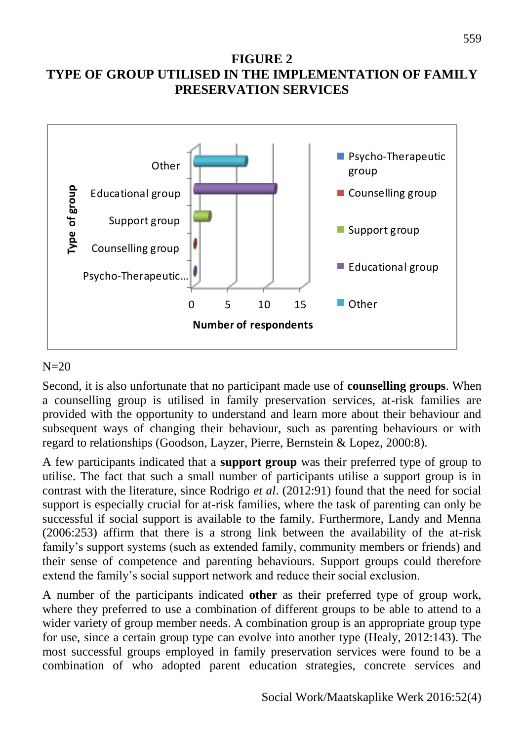#### **FIGURE 2 TYPE OF GROUP UTILISED IN THE IMPLEMENTATION OF FAMILY PRESERVATION SERVICES**



#### $N=20$

Second, it is also unfortunate that no participant made use of **counselling groups**. When a counselling group is utilised in family preservation services, at-risk families are provided with the opportunity to understand and learn more about their behaviour and subsequent ways of changing their behaviour, such as parenting behaviours or with regard to relationships (Goodson, Layzer, Pierre, Bernstein & Lopez, 2000:8).

A few participants indicated that a **support group** was their preferred type of group to utilise. The fact that such a small number of participants utilise a support group is in contrast with the literature, since Rodrigo *et al*. (2012:91) found that the need for social support is especially crucial for at-risk families, where the task of parenting can only be successful if social support is available to the family. Furthermore, Landy and Menna (2006:253) affirm that there is a strong link between the availability of the at-risk family's support systems (such as extended family, community members or friends) and their sense of competence and parenting behaviours. Support groups could therefore extend the family's social support network and reduce their social exclusion.

A number of the participants indicated **other** as their preferred type of group work, where they preferred to use a combination of different groups to be able to attend to a wider variety of group member needs. A combination group is an appropriate group type for use, since a certain group type can evolve into another type (Healy, 2012:143). The most successful groups employed in family preservation services were found to be a combination of who adopted parent education strategies, concrete services and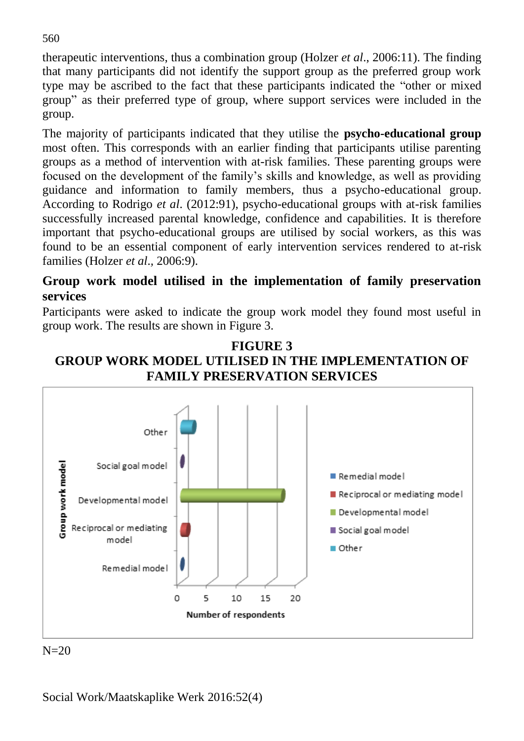therapeutic interventions, thus a combination group (Holzer *et al*., 2006:11). The finding that many participants did not identify the support group as the preferred group work type may be ascribed to the fact that these participants indicated the "other or mixed group" as their preferred type of group, where support services were included in the group.

The majority of participants indicated that they utilise the **psycho-educational group** most often. This corresponds with an earlier finding that participants utilise parenting groups as a method of intervention with at-risk families. These parenting groups were focused on the development of the family's skills and knowledge, as well as providing guidance and information to family members, thus a psycho-educational group. According to Rodrigo *et al*. (2012:91), psycho-educational groups with at-risk families successfully increased parental knowledge, confidence and capabilities. It is therefore important that psycho-educational groups are utilised by social workers, as this was found to be an essential component of early intervention services rendered to at-risk families (Holzer *et al*.*,* 2006:9).

#### **Group work model utilised in the implementation of family preservation services**

Participants were asked to indicate the group work model they found most useful in group work. The results are shown in Figure 3.





 $N=20$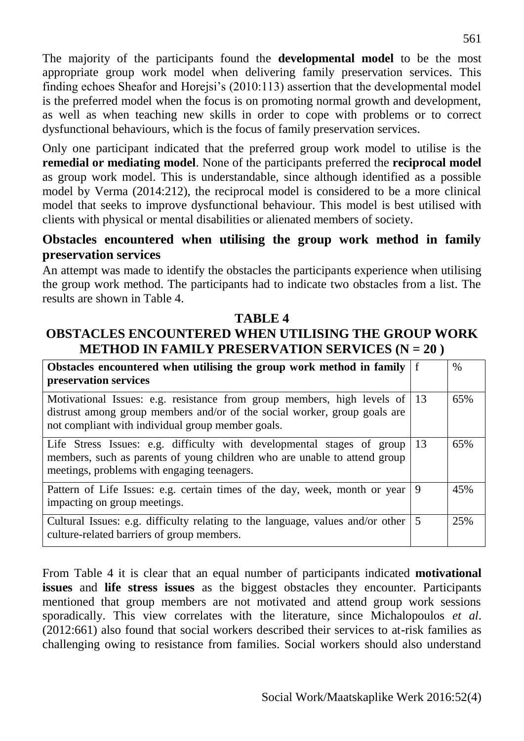The majority of the participants found the **developmental model** to be the most appropriate group work model when delivering family preservation services. This finding echoes Sheafor and Horejsi's (2010:113) assertion that the developmental model is the preferred model when the focus is on promoting normal growth and development, as well as when teaching new skills in order to cope with problems or to correct dysfunctional behaviours, which is the focus of family preservation services.

Only one participant indicated that the preferred group work model to utilise is the **remedial or mediating model**. None of the participants preferred the **reciprocal model**  as group work model. This is understandable, since although identified as a possible model by Verma (2014:212), the reciprocal model is considered to be a more clinical model that seeks to improve dysfunctional behaviour. This model is best utilised with clients with physical or mental disabilities or alienated members of society.

#### **Obstacles encountered when utilising the group work method in family preservation services**

An attempt was made to identify the obstacles the participants experience when utilising the group work method. The participants had to indicate two obstacles from a list. The results are shown in Table 4.

#### **TABLE 4**

### **OBSTACLES ENCOUNTERED WHEN UTILISING THE GROUP WORK METHOD IN FAMILY PRESERVATION SERVICES (N = 20 )**

| Obstacles encountered when utilising the group work method in family $ f $<br>preservation services                                                                                                          |    | $\%$ |
|--------------------------------------------------------------------------------------------------------------------------------------------------------------------------------------------------------------|----|------|
| Motivational Issues: e.g. resistance from group members, high levels of 13<br>distrust among group members and/or of the social worker, group goals are<br>not compliant with individual group member goals. |    | 65%  |
| Life Stress Issues: e.g. difficulty with developmental stages of group<br>members, such as parents of young children who are unable to attend group<br>meetings, problems with engaging teenagers.           | 13 | 65%  |
| Pattern of Life Issues: e.g. certain times of the day, week, month or year<br>impacting on group meetings.                                                                                                   | 9  | 45%  |
| Cultural Issues: e.g. difficulty relating to the language, values and/or other $\vert 5 \rangle$<br>culture-related barriers of group members.                                                               |    | 25%  |

From Table 4 it is clear that an equal number of participants indicated **motivational issues** and **life stress issues** as the biggest obstacles they encounter. Participants mentioned that group members are not motivated and attend group work sessions sporadically. This view correlates with the literature, since Michalopoulos *et al*. (2012:661) also found that social workers described their services to at-risk families as challenging owing to resistance from families. Social workers should also understand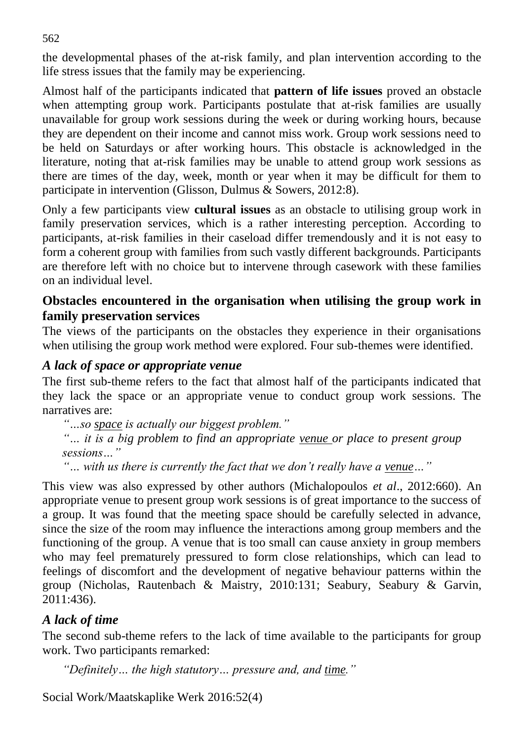the developmental phases of the at-risk family, and plan intervention according to the life stress issues that the family may be experiencing.

Almost half of the participants indicated that **pattern of life issues** proved an obstacle when attempting group work. Participants postulate that at-risk families are usually unavailable for group work sessions during the week or during working hours, because they are dependent on their income and cannot miss work. Group work sessions need to be held on Saturdays or after working hours. This obstacle is acknowledged in the literature, noting that at-risk families may be unable to attend group work sessions as there are times of the day, week, month or year when it may be difficult for them to participate in intervention (Glisson, Dulmus & Sowers, 2012:8).

Only a few participants view **cultural issues** as an obstacle to utilising group work in family preservation services, which is a rather interesting perception. According to participants, at-risk families in their caseload differ tremendously and it is not easy to form a coherent group with families from such vastly different backgrounds. Participants are therefore left with no choice but to intervene through casework with these families on an individual level.

#### **Obstacles encountered in the organisation when utilising the group work in family preservation services**

The views of the participants on the obstacles they experience in their organisations when utilising the group work method were explored. Four sub-themes were identified.

#### *A lack of space or appropriate venue*

The first sub-theme refers to the fact that almost half of the participants indicated that they lack the space or an appropriate venue to conduct group work sessions. The narratives are:

*"…so space is actually our biggest problem." "… it is a big problem to find an appropriate venue or place to present group sessions…"*

*"… with us there is currently the fact that we don't really have a venue…"*

This view was also expressed by other authors (Michalopoulos *et al*., 2012:660). An appropriate venue to present group work sessions is of great importance to the success of a group. It was found that the meeting space should be carefully selected in advance, since the size of the room may influence the interactions among group members and the functioning of the group. A venue that is too small can cause anxiety in group members who may feel prematurely pressured to form close relationships, which can lead to feelings of discomfort and the development of negative behaviour patterns within the group (Nicholas, Rautenbach & Maistry, 2010:131; Seabury, Seabury & Garvin, 2011:436).

#### *A lack of time*

The second sub-theme refers to the lack of time available to the participants for group work. Two participants remarked:

*"Definitely… the high statutory… pressure and, and time."*

Social Work/Maatskaplike Werk 2016:52(4)

562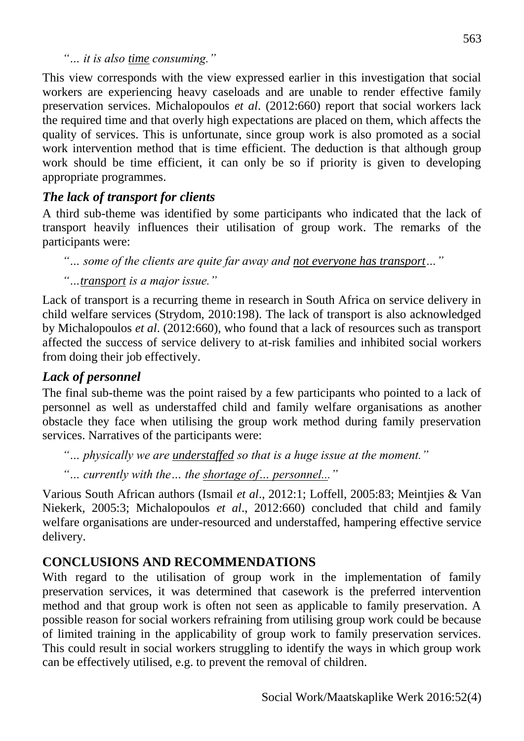*"… it is also time consuming."*

This view corresponds with the view expressed earlier in this investigation that social workers are experiencing heavy caseloads and are unable to render effective family preservation services. Michalopoulos *et al*. (2012:660) report that social workers lack the required time and that overly high expectations are placed on them, which affects the quality of services. This is unfortunate, since group work is also promoted as a social work intervention method that is time efficient. The deduction is that although group work should be time efficient, it can only be so if priority is given to developing appropriate programmes.

# *The lack of transport for clients*

A third sub-theme was identified by some participants who indicated that the lack of transport heavily influences their utilisation of group work. The remarks of the participants were:

*"… some of the clients are quite far away and not everyone has transport…"*

*"…transport is a major issue."*

Lack of transport is a recurring theme in research in South Africa on service delivery in child welfare services (Strydom, 2010:198). The lack of transport is also acknowledged by Michalopoulos *et al*. (2012:660), who found that a lack of resources such as transport affected the success of service delivery to at-risk families and inhibited social workers from doing their job effectively.

## *Lack of personnel*

The final sub-theme was the point raised by a few participants who pointed to a lack of personnel as well as understaffed child and family welfare organisations as another obstacle they face when utilising the group work method during family preservation services. Narratives of the participants were:

*"… physically we are understaffed so that is a huge issue at the moment."*

*"… currently with the… the shortage of… personnel..."*

Various South African authors (Ismail *et al*., 2012:1; Loffell, 2005:83; Meintjies & Van Niekerk, 2005:3; Michalopoulos *et al*., 2012:660) concluded that child and family welfare organisations are under-resourced and understaffed, hampering effective service delivery.

## **CONCLUSIONS AND RECOMMENDATIONS**

With regard to the utilisation of group work in the implementation of family preservation services, it was determined that casework is the preferred intervention method and that group work is often not seen as applicable to family preservation. A possible reason for social workers refraining from utilising group work could be because of limited training in the applicability of group work to family preservation services. This could result in social workers struggling to identify the ways in which group work can be effectively utilised, e.g. to prevent the removal of children.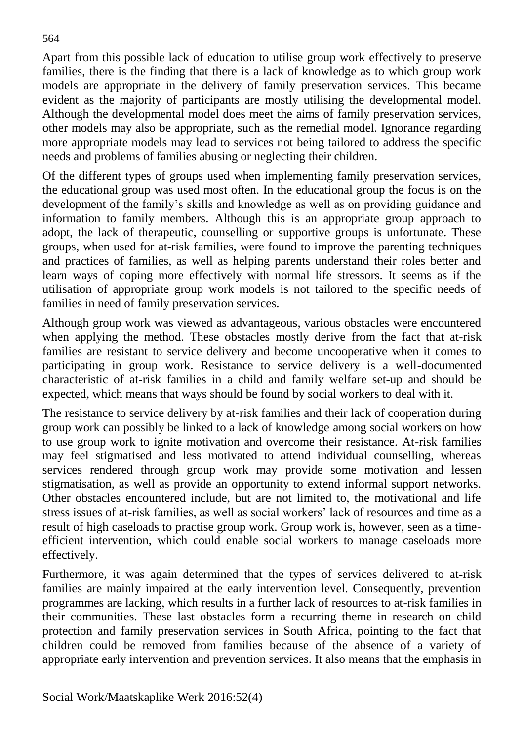Apart from this possible lack of education to utilise group work effectively to preserve families, there is the finding that there is a lack of knowledge as to which group work models are appropriate in the delivery of family preservation services. This became evident as the majority of participants are mostly utilising the developmental model. Although the developmental model does meet the aims of family preservation services, other models may also be appropriate, such as the remedial model. Ignorance regarding more appropriate models may lead to services not being tailored to address the specific needs and problems of families abusing or neglecting their children.

Of the different types of groups used when implementing family preservation services, the educational group was used most often. In the educational group the focus is on the development of the family's skills and knowledge as well as on providing guidance and information to family members. Although this is an appropriate group approach to adopt, the lack of therapeutic, counselling or supportive groups is unfortunate. These groups, when used for at-risk families, were found to improve the parenting techniques and practices of families, as well as helping parents understand their roles better and learn ways of coping more effectively with normal life stressors. It seems as if the utilisation of appropriate group work models is not tailored to the specific needs of families in need of family preservation services.

Although group work was viewed as advantageous, various obstacles were encountered when applying the method. These obstacles mostly derive from the fact that at-risk families are resistant to service delivery and become uncooperative when it comes to participating in group work. Resistance to service delivery is a well-documented characteristic of at-risk families in a child and family welfare set-up and should be expected, which means that ways should be found by social workers to deal with it.

The resistance to service delivery by at-risk families and their lack of cooperation during group work can possibly be linked to a lack of knowledge among social workers on how to use group work to ignite motivation and overcome their resistance. At-risk families may feel stigmatised and less motivated to attend individual counselling, whereas services rendered through group work may provide some motivation and lessen stigmatisation, as well as provide an opportunity to extend informal support networks. Other obstacles encountered include, but are not limited to, the motivational and life stress issues of at-risk families, as well as social workers' lack of resources and time as a result of high caseloads to practise group work. Group work is, however, seen as a timeefficient intervention, which could enable social workers to manage caseloads more effectively.

Furthermore, it was again determined that the types of services delivered to at-risk families are mainly impaired at the early intervention level. Consequently, prevention programmes are lacking, which results in a further lack of resources to at-risk families in their communities. These last obstacles form a recurring theme in research on child protection and family preservation services in South Africa, pointing to the fact that children could be removed from families because of the absence of a variety of appropriate early intervention and prevention services. It also means that the emphasis in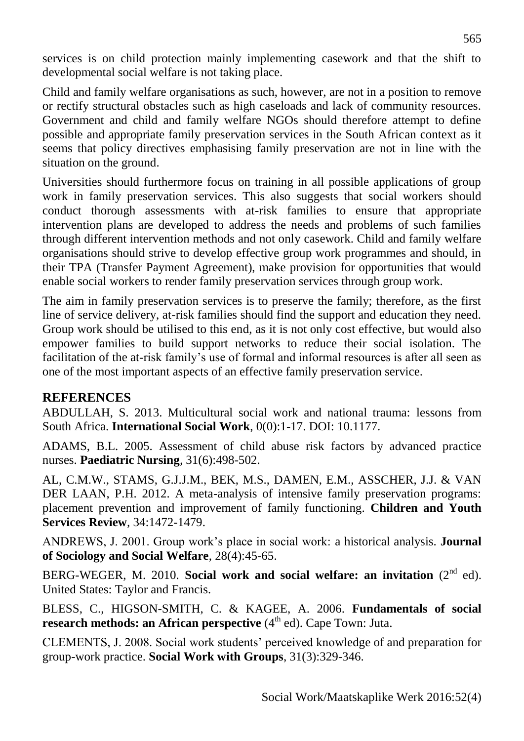services is on child protection mainly implementing casework and that the shift to developmental social welfare is not taking place.

Child and family welfare organisations as such, however, are not in a position to remove or rectify structural obstacles such as high caseloads and lack of community resources. Government and child and family welfare NGOs should therefore attempt to define possible and appropriate family preservation services in the South African context as it seems that policy directives emphasising family preservation are not in line with the situation on the ground.

Universities should furthermore focus on training in all possible applications of group work in family preservation services. This also suggests that social workers should conduct thorough assessments with at-risk families to ensure that appropriate intervention plans are developed to address the needs and problems of such families through different intervention methods and not only casework. Child and family welfare organisations should strive to develop effective group work programmes and should, in their TPA (Transfer Payment Agreement), make provision for opportunities that would enable social workers to render family preservation services through group work.

The aim in family preservation services is to preserve the family; therefore, as the first line of service delivery, at-risk families should find the support and education they need. Group work should be utilised to this end, as it is not only cost effective, but would also empower families to build support networks to reduce their social isolation. The facilitation of the at-risk family's use of formal and informal resources is after all seen as one of the most important aspects of an effective family preservation service.

### **REFERENCES**

ABDULLAH, S. 2013. Multicultural social work and national trauma: lessons from South Africa. **International Social Work**, 0(0):1-17. DOI: 10.1177.

ADAMS, B.L. 2005. Assessment of child abuse risk factors by advanced practice nurses. **Paediatric Nursing***,* 31(6):498-502.

AL, C.M.W., STAMS, G.J.J.M., BEK, M.S., DAMEN, E.M., ASSCHER, J.J. & VAN DER LAAN, P.H. 2012. A meta-analysis of intensive family preservation programs: placement prevention and improvement of family functioning. **Children and Youth Services Review***,* 34:1472-1479.

ANDREWS, J. 2001. Group work's place in social work: a historical analysis. **Journal of Sociology and Social Welfare**, 28(4):45-65.

BERG-WEGER, M. 2010. **Social work and social welfare: an invitation** (2<sup>nd</sup> ed). United States: Taylor and Francis.

BLESS, C., HIGSON-SMITH, C. & KAGEE, A. 2006. **Fundamentals of social research methods: an African perspective** (4<sup>th</sup> ed). Cape Town: Juta.

CLEMENTS, J. 2008. Social work students' perceived knowledge of and preparation for group-work practice. **Social Work with Groups**, 31(3):329-346.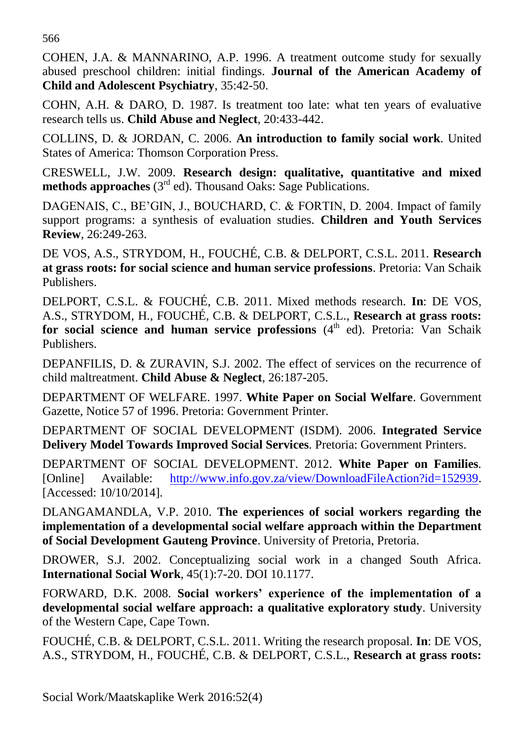566

COHEN, J.A. & MANNARINO, A.P. 1996. A treatment outcome study for sexually abused preschool children: initial findings. **Journal of the American Academy of Child and Adolescent Psychiatry**, 35:42-50.

COHN, A.H. & DARO, D. 1987. Is treatment too late: what ten years of evaluative research tells us. **Child Abuse and Neglect***,* 20:433-442.

COLLINS, D. & JORDAN, C. 2006. **An introduction to family social work**. United States of America: Thomson Corporation Press.

CRESWELL, J.W. 2009. **Research design: qualitative, quantitative and mixed methods approaches** (3<sup>rd</sup> ed). Thousand Oaks: Sage Publications.

DAGENAIS, C., BE'GIN, J., BOUCHARD, C. & FORTIN, D. 2004. Impact of family support programs: a synthesis of evaluation studies. **Children and Youth Services Review**, 26:249-263.

DE VOS, A.S., STRYDOM, H., FOUCHÉ, C.B. & DELPORT, C.S.L. 2011. **Research at grass roots: for social science and human service professions**. Pretoria: Van Schaik Publishers.

DELPORT, C.S.L. & FOUCHÉ, C.B. 2011. Mixed methods research. **In**: DE VOS, A.S., STRYDOM, H., FOUCHÉ, C.B. & DELPORT, C.S.L., **Research at grass roots:**  for social science and human service professions (4<sup>th</sup> ed). Pretoria: Van Schaik Publishers.

DEPANFILIS, D. & ZURAVIN, S.J. 2002. The effect of services on the recurrence of child maltreatment. **Child Abuse & Neglect**, 26:187-205.

DEPARTMENT OF WELFARE. 1997. **White Paper on Social Welfare**. Government Gazette, Notice 57 of 1996. Pretoria: Government Printer.

DEPARTMENT OF SOCIAL DEVELOPMENT (ISDM). 2006. **Integrated Service Delivery Model Towards Improved Social Services***.* Pretoria: Government Printers.

DEPARTMENT OF SOCIAL DEVELOPMENT. 2012. **White Paper on Families***.* [Online] Available: [http://www.info.gov.za/view/DownloadFileAction?id=152939.](http://www.info.gov.za/view/DownloadFileAction?id=152939) [Accessed: 10/10/2014].

DLANGAMANDLA, V.P. 2010. **The experiences of social workers regarding the implementation of a developmental social welfare approach within the Department of Social Development Gauteng Province**. University of Pretoria, Pretoria.

DROWER, S.J. 2002. Conceptualizing social work in a changed South Africa. **International Social Work**, 45(1):7-20. DOI 10.1177.

FORWARD, D.K. 2008. **Social workers' experience of the implementation of a developmental social welfare approach: a qualitative exploratory study**. University of the Western Cape, Cape Town.

FOUCHÉ, C.B. & DELPORT, C.S.L. 2011. Writing the research proposal. **In**: DE VOS, A.S., STRYDOM, H., FOUCHÉ, C.B. & DELPORT, C.S.L., **Research at grass roots:**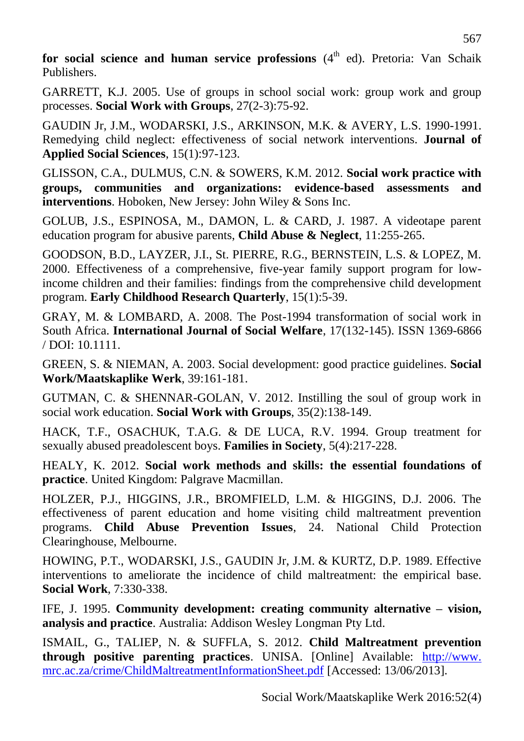**for social science and human service professions** (4<sup>th</sup> ed). Pretoria: Van Schaik Publishers.

GARRETT, K.J. 2005. Use of groups in school social work: group work and group processes. **Social Work with Groups**, 27(2-3):75-92.

GAUDIN Jr, J.M., WODARSKI, J.S., ARKINSON, M.K. & AVERY, L.S. 1990-1991. Remedying child neglect: effectiveness of social network interventions. **Journal of Applied Social Sciences**, 15(1):97-123.

GLISSON, C.A., DULMUS, C.N. & SOWERS, K.M. 2012. **Social work practice with groups, communities and organizations: evidence-based assessments and interventions**. Hoboken, New Jersey: John Wiley & Sons Inc.

GOLUB, J.S., ESPINOSA, M., DAMON, L. & CARD, J. 1987. A videotape parent education program for abusive parents, **Child Abuse & Neglect**, 11:255-265.

GOODSON, B.D., LAYZER, J.I., St. PIERRE, R.G., BERNSTEIN, L.S. & LOPEZ, M. 2000. Effectiveness of a comprehensive, five-year family support program for lowincome children and their families: findings from the comprehensive child development program. **Early Childhood Research Quarterly**, 15(1):5-39.

GRAY, M. & LOMBARD, A. 2008. The Post-1994 transformation of social work in South Africa. **International Journal of Social Welfare**, 17(132-145). ISSN 1369-6866 / DOI: 10.1111.

GREEN, S. & NIEMAN, A. 2003. Social development: good practice guidelines. **Social Work/Maatskaplike Werk**, 39:161-181.

GUTMAN, C. & SHENNAR-GOLAN, V. 2012. Instilling the soul of group work in social work education. **Social Work with Groups**, 35(2):138-149.

HACK, T.F., OSACHUK, T.A.G. & DE LUCA, R.V. 1994. Group treatment for sexually abused preadolescent boys. **Families in Society**, 5(4):217-228.

HEALY, K. 2012. **Social work methods and skills: the essential foundations of practice**. United Kingdom: Palgrave Macmillan.

HOLZER, P.J., HIGGINS, J.R., BROMFIELD, L.M. & HIGGINS, D.J. 2006. The effectiveness of parent education and home visiting child maltreatment prevention programs. **Child Abuse Prevention Issues**, 24. National Child Protection Clearinghouse, Melbourne.

HOWING, P.T., WODARSKI, J.S., GAUDIN Jr, J.M. & KURTZ, D.P. 1989. Effective interventions to ameliorate the incidence of child maltreatment: the empirical base. **Social Work**, 7:330-338.

IFE, J. 1995. **Community development: creating community alternative – vision, analysis and practice**. Australia: Addison Wesley Longman Pty Ltd.

ISMAIL, G., TALIEP, N. & SUFFLA, S. 2012. **Child Maltreatment prevention through positive parenting practices**. UNISA. [Online] Available: http://www. mrc.ac.za/crime/ChildMaltreatmentInformationSheet.pdf [Accessed: 13/06/2013].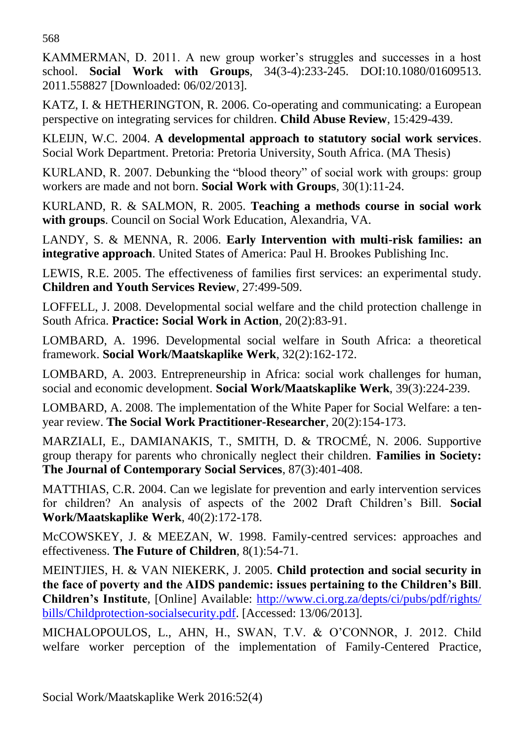KAMMERMAN, D. 2011. A new group worker's struggles and successes in a host school. **Social Work with Groups**, 34(3-4):233-245. DOI:10.1080/01609513. 2011.558827 [Downloaded: 06/02/2013].

KATZ, I. & HETHERINGTON, R. 2006. Co-operating and communicating: a European perspective on integrating services for children. **Child Abuse Review**, 15:429-439.

KLEIJN, W.C. 2004. **A developmental approach to statutory social work services**. Social Work Department. Pretoria: Pretoria University, South Africa. (MA Thesis)

KURLAND, R. 2007. Debunking the "blood theory" of social work with groups: group workers are made and not born. **Social Work with Groups**, 30(1):11-24.

KURLAND, R. & SALMON, R. 2005. **Teaching a methods course in social work with groups**. Council on Social Work Education, Alexandria, VA.

LANDY, S. & MENNA, R. 2006. **Early Intervention with multi-risk families: an integrative approach**. United States of America: Paul H. Brookes Publishing Inc.

LEWIS, R.E. 2005. The effectiveness of families first services: an experimental study. **Children and Youth Services Review**, 27:499-509.

LOFFELL, J. 2008. Developmental social welfare and the child protection challenge in South Africa. **Practice: Social Work in Action**, 20(2):83-91.

LOMBARD, A. 1996. Developmental social welfare in South Africa: a theoretical framework. **Social Work/Maatskaplike Werk**, 32(2):162-172.

LOMBARD, A. 2003. Entrepreneurship in Africa: social work challenges for human, social and economic development. **Social Work/Maatskaplike Werk**, 39(3):224-239.

LOMBARD, A. 2008. The implementation of the White Paper for Social Welfare: a tenyear review. **The Social Work Practitioner-Researcher**, 20(2):154-173.

MARZIALI, E., DAMIANAKIS, T., SMITH, D. & TROCMÉ, N. 2006. Supportive group therapy for parents who chronically neglect their children. **Families in Society: The Journal of Contemporary Social Services**, 87(3):401-408.

MATTHIAS, C.R. 2004. Can we legislate for prevention and early intervention services for children? An analysis of aspects of the 2002 Draft Children's Bill. **Social Work/Maatskaplike Werk**, 40(2):172-178.

McCOWSKEY, J. & MEEZAN, W. 1998. Family-centred services: approaches and effectiveness. **The Future of Children**, 8(1):54-71.

MEINTJIES, H. & VAN NIEKERK, J. 2005. **Child protection and social security in the face of poverty and the AIDS pandemic: issues pertaining to the Children's Bill**. **Children's Institute***,* [Online] Available: [http://www.ci.org.za/depts/ci/pubs/pdf/rights/](http://www.ci.org.za/depts/ci/pubs/pdf/rights/%20bills/Childprotection-socialsecurity.pdf)  [bills/Childprotection-socialsecurity.pdf.](http://www.ci.org.za/depts/ci/pubs/pdf/rights/%20bills/Childprotection-socialsecurity.pdf) [Accessed: 13/06/2013].

MICHALOPOULOS, L., AHN, H., SWAN, T.V. & O'CONNOR, J. 2012. Child welfare worker perception of the implementation of Family-Centered Practice*,*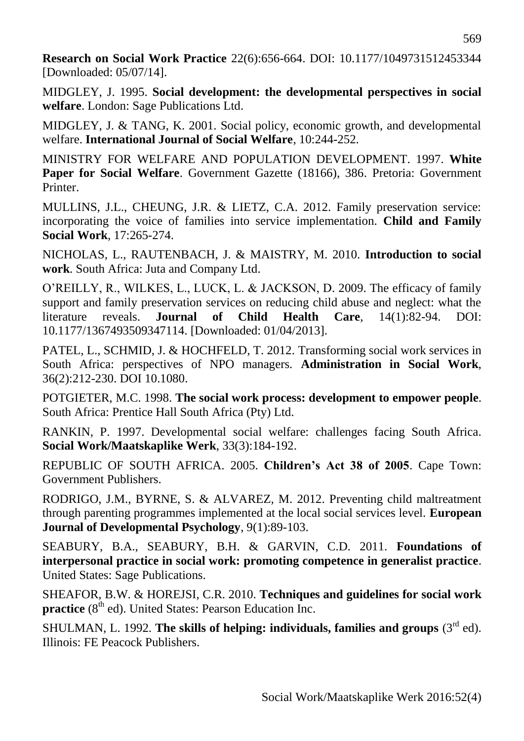**Research on Social Work Practice** 22(6):656-664. DOI: 10.1177/1049731512453344 [Downloaded: 05/07/14].

MIDGLEY, J. 1995. **Social development: the developmental perspectives in social welfare**. London: Sage Publications Ltd.

MIDGLEY, J. & TANG, K. 2001. Social policy, economic growth, and developmental welfare. **International Journal of Social Welfare**, 10:244-252.

MINISTRY FOR WELFARE AND POPULATION DEVELOPMENT. 1997. **White Paper for Social Welfare**. Government Gazette (18166), 386. Pretoria: Government Printer.

MULLINS, J.L., CHEUNG, J.R. & LIETZ, C.A. 2012. Family preservation service: incorporating the voice of families into service implementation. **Child and Family Social Work**, 17:265-274.

NICHOLAS, L., RAUTENBACH, J. & MAISTRY, M. 2010. **Introduction to social work**. South Africa: Juta and Company Ltd.

O'REILLY, R., WILKES, L., LUCK, L. & JACKSON, D. 2009. The efficacy of family support and family preservation services on reducing child abuse and neglect: what the literature reveals. **Journal of Child Health Care**, 14(1):82-94. DOI: 10.1177/1367493509347114. [Downloaded: 01/04/2013].

PATEL, L., SCHMID, J. & HOCHFELD, T. 2012. Transforming social work services in South Africa: perspectives of NPO managers*.* **Administration in Social Work**, 36(2):212-230. DOI 10.1080.

POTGIETER, M.C. 1998. **The social work process: development to empower people**. South Africa: Prentice Hall South Africa (Pty) Ltd.

RANKIN, P. 1997. Developmental social welfare: challenges facing South Africa. **Social Work/Maatskaplike Werk**, 33(3):184-192.

REPUBLIC OF SOUTH AFRICA. 2005. **Children's Act 38 of 2005**. Cape Town: Government Publishers.

RODRIGO, J.M., BYRNE, S. & ALVAREZ, M. 2012. Preventing child maltreatment through parenting programmes implemented at the local social services level. **European Journal of Developmental Psychology**, 9(1):89-103.

SEABURY, B.A., SEABURY, B.H. & GARVIN, C.D. 2011. **Foundations of interpersonal practice in social work: promoting competence in generalist practice**. United States: Sage Publications.

SHEAFOR, B.W. & HOREJSI, C.R. 2010. **Techniques and guidelines for social work practice** (8<sup>th</sup> ed). United States: Pearson Education Inc.

SHULMAN, L. 1992. **The skills of helping: individuals, families and groups**  $(3<sup>rd</sup>$  ed). Illinois: FE Peacock Publishers.